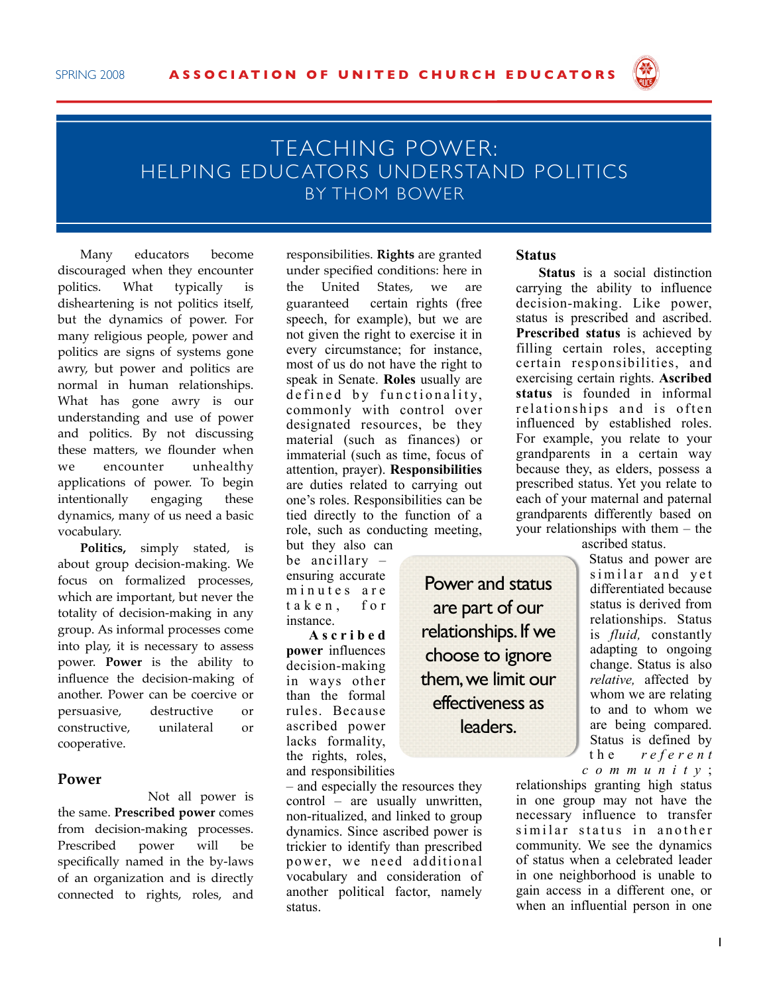

## TEACHING POWER: HELPING EDUC ATORS UNDERSTAND POLITICS BY THOM BOWER

Many educators become discouraged when they encounter politics. What typically is disheartening is not politics itself, but the dynamics of power. For many religious people, power and politics are signs of systems gone awry, but power and politics are normal in human relationships. What has gone awry is our understanding and use of power and politics. By not discussing these matters, we flounder when we encounter unhealthy applications of power. To begin intentionally engaging these dynamics, many of us need a basic vocabulary.

**Politics,** simply stated, is about group decision-making. We focus on formalized processes, which are important, but never the totality of decision-making in any group. As informal processes come into play, it is necessary to assess power. **Power** is the ability to influence the decision-making of another. Power can be coercive or persuasive, destructive or constructive, unilateral or cooperative.

## **Power**

Not all power is the same. **Prescribed power** comes from decision-making processes. Prescribed power will be specifically named in the by-laws of an organization and is directly connected to rights, roles, and responsibilities. **Rights** are granted under specified conditions: here in the United States, we are guaranteed certain rights (free speech, for example), but we are not given the right to exercise it in every circumstance; for instance, most of us do not have the right to speak in Senate. **Roles** usually are defined by functionality, commonly with control over designated resources, be they material (such as finances) or immaterial (such as time, focus of attention, prayer). **Responsibilities** are duties related to carrying out one's roles. Responsibilities can be tied directly to the function of a role, such as conducting meeting,

but they also can be ancillary – ensuring accurate minutes are taken, for instance.

**A s c r i b e d power** influences decision-making in ways other than the formal rules. Because ascribed power lacks formality, the rights, roles, and responsibilities

– and especially the resources they control – are usually unwritten, non-ritualized, and linked to group dynamics. Since ascribed power is trickier to identify than prescribed power, we need additional vocabulary and consideration of another political factor, namely status.

## **Status**

**Status** is a social distinction carrying the ability to influence decision-making. Like power, status is prescribed and ascribed. **Prescribed status** is achieved by filling certain roles, accepting certain responsibilities, and exercising certain rights. **Ascribed status** is founded in informal relationships and is often influenced by established roles. For example, you relate to your grandparents in a certain way because they, as elders, possess a prescribed status. Yet you relate to each of your maternal and paternal grandparents differently based on your relationships with them – the

ascribed status.

Status and power are similar and yet differentiated because status is derived from relationships. Status is *fluid,* constantly adapting to ongoing change. Status is also *relative,* affected by whom we are relating to and to whom we are being compared. Status is defined by t h e *r e f e r e n t c o m m u n i t y* ;

relationships granting high status in one group may not have the necessary influence to transfer similar status in another community. We see the dynamics of status when a celebrated leader in one neighborhood is unable to gain access in a different one, or when an influential person in one

are part of our relationships. If we choose to ignore them, we limit our effectiveness as leaders.

Power and status